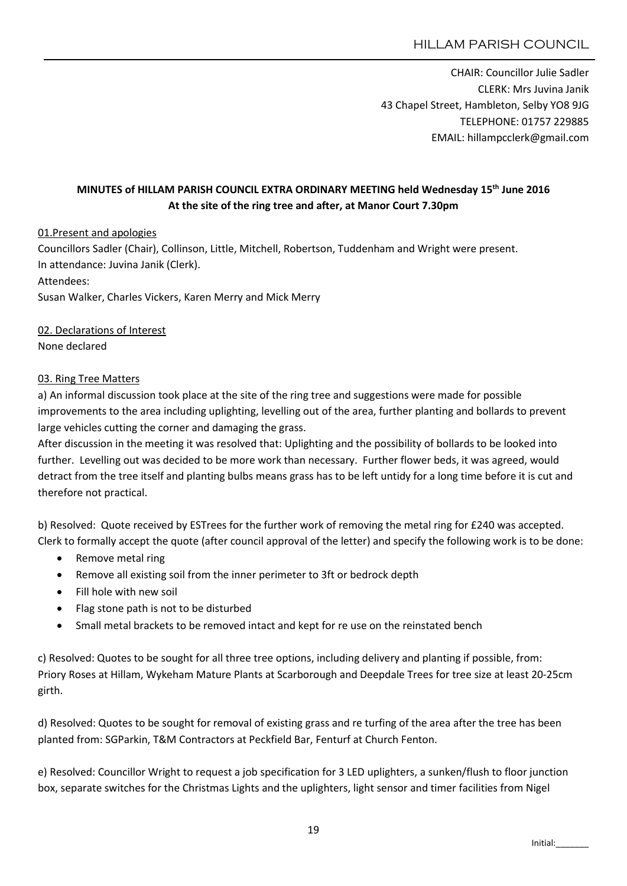CHAIR: Councillor Julie Sadler CLERK: Mrs Juvina Janik 43 Chapel Street, Hambleton, Selby YO8 9JG TELEPHONE: 01757 229885 EMAIL: hillampcclerk@gmail.com

# MINUTES of HILLAM PARISH COUNCIL EXTRA ORDINARY MEETING held Wednesday 15th June 2016 At the site of the ring tree and after, at Manor Court 7.30pm

### 01.Present and apologies

Councillors Sadler (Chair), Collinson, Little, Mitchell, Robertson, Tuddenham and Wright were present. In attendance: Juvina Janik (Clerk). Attendees:

Susan Walker, Charles Vickers, Karen Merry and Mick Merry

02. Declarations of Interest None declared

### 03. Ring Tree Matters

a) An informal discussion took place at the site of the ring tree and suggestions were made for possible improvements to the area including uplighting, levelling out of the area, further planting and bollards to prevent large vehicles cutting the corner and damaging the grass.

After discussion in the meeting it was resolved that: Uplighting and the possibility of bollards to be looked into further. Levelling out was decided to be more work than necessary. Further flower beds, it was agreed, would detract from the tree itself and planting bulbs means grass has to be left untidy for a long time before it is cut and therefore not practical.

b) Resolved: Quote received by ESTrees for the further work of removing the metal ring for £240 was accepted. Clerk to formally accept the quote (after council approval of the letter) and specify the following work is to be done:

- Remove metal ring
- Remove all existing soil from the inner perimeter to 3ft or bedrock depth
- Fill hole with new soil
- Flag stone path is not to be disturbed
- Small metal brackets to be removed intact and kept for re use on the reinstated bench

c) Resolved: Quotes to be sought for all three tree options, including delivery and planting if possible, from: Priory Roses at Hillam, Wykeham Mature Plants at Scarborough and Deepdale Trees for tree size at least 20-25cm girth.

d) Resolved: Quotes to be sought for removal of existing grass and re turfing of the area after the tree has been planted from: SGParkin, T&M Contractors at Peckfield Bar, Fenturf at Church Fenton.

e) Resolved: Councillor Wright to request a job specification for 3 LED uplighters, a sunken/flush to floor junction box, separate switches for the Christmas Lights and the uplighters, light sensor and timer facilities from Nigel